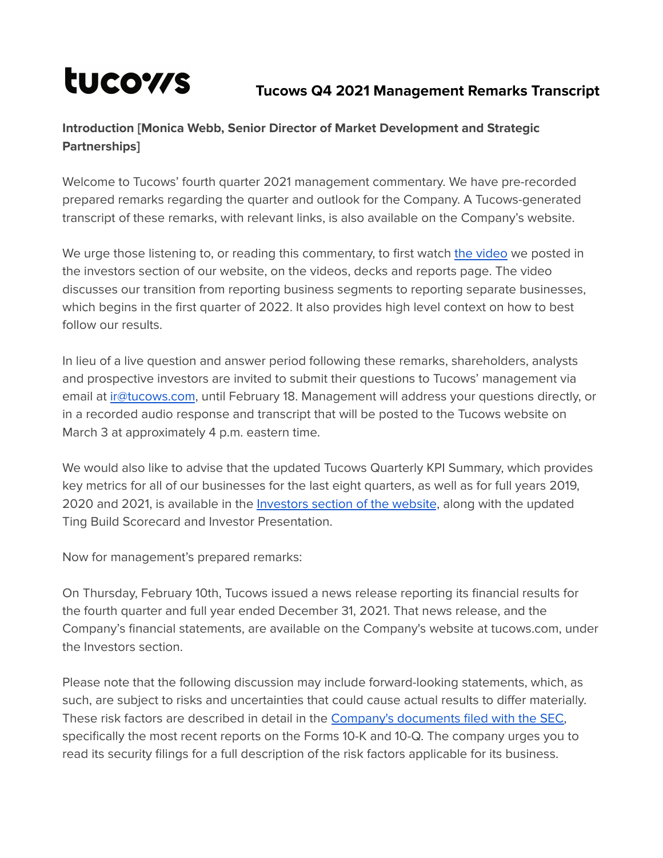# tucows

# **Tucows Q4 2021 Management Remarks Transcript**

# **Introduction [Monica Webb, Senior Director of Market Development and Strategic Partnerships]**

Welcome to Tucows' fourth quarter 2021 management commentary. We have pre-recorded prepared remarks regarding the quarter and outlook for the Company. A Tucows-generated transcript of these remarks, with relevant links, is also available on the Company's website.

We urge those listening to, or reading this commentary, to first watch the [video](https://vimeo.com/675592141/6416c98c10) we posted in the investors section of our website, on the videos, decks and reports page. The video discusses our transition from reporting business segments to reporting separate businesses, which begins in the first quarter of 2022. It also provides high level context on how to best follow our results.

In lieu of a live question and answer period following these remarks, shareholders, analysts and prospective investors are invited to submit their questions to Tucows' management via email at [ir@tucows.com](mailto:ir@tucows.com), until February 18. Management will address your questions directly, or in a recorded audio response and transcript that will be posted to the Tucows website on March 3 at approximately 4 p.m. eastern time.

We would also like to advise that the updated Tucows Quarterly KPI Summary, which provides key metrics for all of our businesses for the last eight quarters, as well as for full years 2019, 2020 and 2021, is available in the [Investors](http://www.tucows.com/investors/) section of the website, along with the updated Ting Build Scorecard and Investor Presentation.

Now for management's prepared remarks:

On Thursday, February 10th, Tucows issued a news release reporting its financial results for the fourth quarter and full year ended December 31, 2021. That news release, and the Company's financial statements, are available on the Company's website at tucows.com, under the Investors section.

Please note that the following discussion may include forward-looking statements, which, as such, are subject to risks and uncertainties that could cause actual results to differ materially. These risk factors are described in detail in the Company's [documents](https://www.sec.gov/cgi-bin/browse-edgar?CIK=tcx&Find=Search&owner=exclude&action=getcompany) filed with the SEC, specifically the most recent reports on the Forms 10-K and 10-Q. The company urges you to read its security filings for a full description of the risk factors applicable for its business.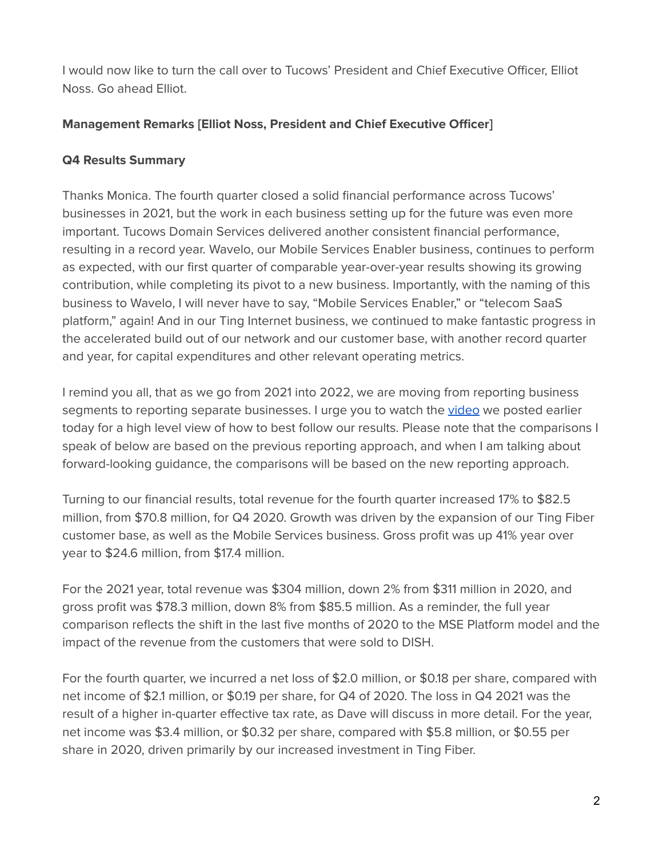I would now like to turn the call over to Tucows' President and Chief Executive Officer, Elliot Noss. Go ahead Elliot.

#### **Management Remarks [Elliot Noss, President and Chief Executive Officer]**

#### **Q4 Results Summary**

Thanks Monica. The fourth quarter closed a solid financial performance across Tucows' businesses in 2021, but the work in each business setting up for the future was even more important. Tucows Domain Services delivered another consistent financial performance, resulting in a record year. Wavelo, our Mobile Services Enabler business, continues to perform as expected, with our first quarter of comparable year-over-year results showing its growing contribution, while completing its pivot to a new business. Importantly, with the naming of this business to Wavelo, I will never have to say, "Mobile Services Enabler," or "telecom SaaS platform," again! And in our Ting Internet business, we continued to make fantastic progress in the accelerated build out of our network and our customer base, with another record quarter and year, for capital expenditures and other relevant operating metrics.

I remind you all, that as we go from 2021 into 2022, we are moving from reporting business segments to reporting separate businesses. I urge you to watch the [video](https://vimeo.com/675592141/6416c98c10) we posted earlier today for a high level view of how to best follow our results. Please note that the comparisons I speak of below are based on the previous reporting approach, and when I am talking about forward-looking guidance, the comparisons will be based on the new reporting approach.

Turning to our financial results, total revenue for the fourth quarter increased 17% to \$82.5 million, from \$70.8 million, for Q4 2020. Growth was driven by the expansion of our Ting Fiber customer base, as well as the Mobile Services business. Gross profit was up 41% year over year to \$24.6 million, from \$17.4 million.

For the 2021 year, total revenue was \$304 million, down 2% from \$311 million in 2020, and gross profit was \$78.3 million, down 8% from \$85.5 million. As a reminder, the full year comparison reflects the shift in the last five months of 2020 to the MSE Platform model and the impact of the revenue from the customers that were sold to DISH.

For the fourth quarter, we incurred a net loss of \$2.0 million, or \$0.18 per share, compared with net income of \$2.1 million, or \$0.19 per share, for Q4 of 2020. The loss in Q4 2021 was the result of a higher in-quarter effective tax rate, as Dave will discuss in more detail. For the year, net income was \$3.4 million, or \$0.32 per share, compared with \$5.8 million, or \$0.55 per share in 2020, driven primarily by our increased investment in Ting Fiber.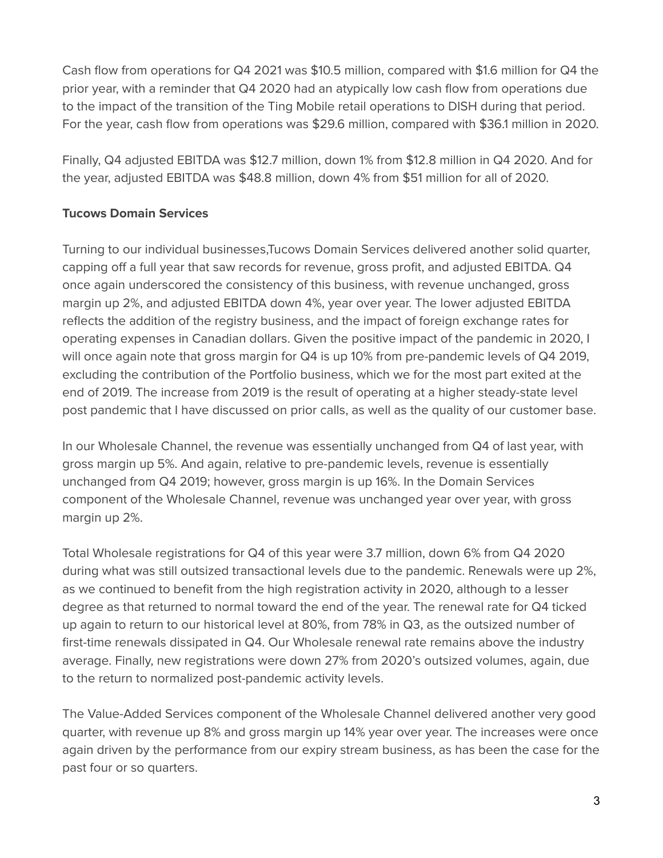Cash flow from operations for Q4 2021 was \$10.5 million, compared with \$1.6 million for Q4 the prior year, with a reminder that Q4 2020 had an atypically low cash flow from operations due to the impact of the transition of the Ting Mobile retail operations to DISH during that period. For the year, cash flow from operations was \$29.6 million, compared with \$36.1 million in 2020.

Finally, Q4 adjusted EBITDA was \$12.7 million, down 1% from \$12.8 million in Q4 2020. And for the year, adjusted EBITDA was \$48.8 million, down 4% from \$51 million for all of 2020.

## **Tucows Domain Services**

Turning to our individual businesses,Tucows Domain Services delivered another solid quarter, capping off a full year that saw records for revenue, gross profit, and adjusted EBITDA. Q4 once again underscored the consistency of this business, with revenue unchanged, gross margin up 2%, and adjusted EBITDA down 4%, year over year. The lower adjusted EBITDA reflects the addition of the registry business, and the impact of foreign exchange rates for operating expenses in Canadian dollars. Given the positive impact of the pandemic in 2020, I will once again note that gross margin for Q4 is up 10% from pre-pandemic levels of Q4 2019, excluding the contribution of the Portfolio business, which we for the most part exited at the end of 2019. The increase from 2019 is the result of operating at a higher steady-state level post pandemic that I have discussed on prior calls, as well as the quality of our customer base.

In our Wholesale Channel, the revenue was essentially unchanged from Q4 of last year, with gross margin up 5%. And again, relative to pre-pandemic levels, revenue is essentially unchanged from Q4 2019; however, gross margin is up 16%. In the Domain Services component of the Wholesale Channel, revenue was unchanged year over year, with gross margin up 2%.

Total Wholesale registrations for Q4 of this year were 3.7 million, down 6% from Q4 2020 during what was still outsized transactional levels due to the pandemic. Renewals were up 2%, as we continued to benefit from the high registration activity in 2020, although to a lesser degree as that returned to normal toward the end of the year. The renewal rate for Q4 ticked up again to return to our historical level at 80%, from 78% in Q3, as the outsized number of first-time renewals dissipated in Q4. Our Wholesale renewal rate remains above the industry average. Finally, new registrations were down 27% from 2020's outsized volumes, again, due to the return to normalized post-pandemic activity levels.

The Value-Added Services component of the Wholesale Channel delivered another very good quarter, with revenue up 8% and gross margin up 14% year over year. The increases were once again driven by the performance from our expiry stream business, as has been the case for the past four or so quarters.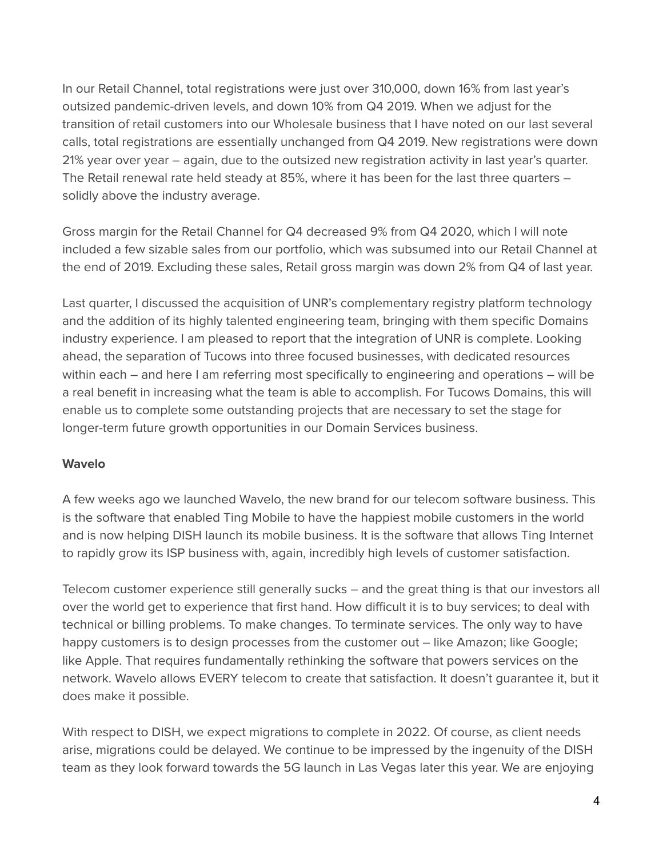In our Retail Channel, total registrations were just over 310,000, down 16% from last year's outsized pandemic-driven levels, and down 10% from Q4 2019. When we adjust for the transition of retail customers into our Wholesale business that I have noted on our last several calls, total registrations are essentially unchanged from Q4 2019. New registrations were down 21% year over year – again, due to the outsized new registration activity in last year's quarter. The Retail renewal rate held steady at 85%, where it has been for the last three quarters – solidly above the industry average.

Gross margin for the Retail Channel for Q4 decreased 9% from Q4 2020, which I will note included a few sizable sales from our portfolio, which was subsumed into our Retail Channel at the end of 2019. Excluding these sales, Retail gross margin was down 2% from Q4 of last year.

Last quarter, I discussed the acquisition of UNR's complementary registry platform technology and the addition of its highly talented engineering team, bringing with them specific Domains industry experience. I am pleased to report that the integration of UNR is complete. Looking ahead, the separation of Tucows into three focused businesses, with dedicated resources within each – and here I am referring most specifically to engineering and operations – will be a real benefit in increasing what the team is able to accomplish. For Tucows Domains, this will enable us to complete some outstanding projects that are necessary to set the stage for longer-term future growth opportunities in our Domain Services business.

#### **Wavelo**

A few weeks ago we launched Wavelo, the new brand for our telecom software business. This is the software that enabled Ting Mobile to have the happiest mobile customers in the world and is now helping DISH launch its mobile business. It is the software that allows Ting Internet to rapidly grow its ISP business with, again, incredibly high levels of customer satisfaction.

Telecom customer experience still generally sucks – and the great thing is that our investors all over the world get to experience that first hand. How difficult it is to buy services; to deal with technical or billing problems. To make changes. To terminate services. The only way to have happy customers is to design processes from the customer out – like Amazon; like Google; like Apple. That requires fundamentally rethinking the software that powers services on the network. Wavelo allows EVERY telecom to create that satisfaction. It doesn't guarantee it, but it does make it possible.

With respect to DISH, we expect migrations to complete in 2022. Of course, as client needs arise, migrations could be delayed. We continue to be impressed by the ingenuity of the DISH team as they look forward towards the 5G launch in Las Vegas later this year. We are enjoying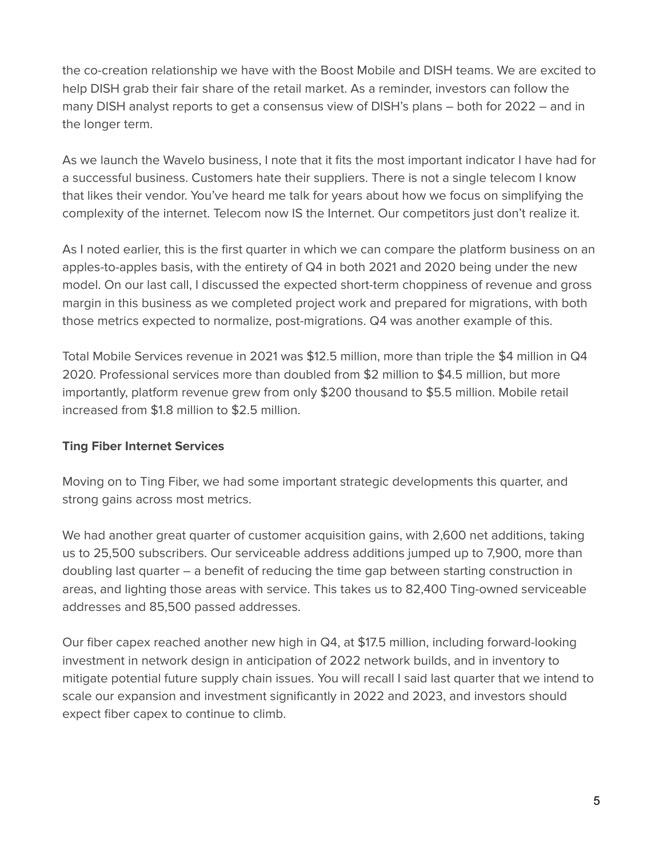the co-creation relationship we have with the Boost Mobile and DISH teams. We are excited to help DISH grab their fair share of the retail market. As a reminder, investors can follow the many DISH analyst reports to get a consensus view of DISH's plans – both for 2022 – and in the longer term.

As we launch the Wavelo business, I note that it fits the most important indicator I have had for a successful business. Customers hate their suppliers. There is not a single telecom I know that likes their vendor. You've heard me talk for years about how we focus on simplifying the complexity of the internet. Telecom now IS the Internet. Our competitors just don't realize it.

As I noted earlier, this is the first quarter in which we can compare the platform business on an apples-to-apples basis, with the entirety of Q4 in both 2021 and 2020 being under the new model. On our last call, I discussed the expected short-term choppiness of revenue and gross margin in this business as we completed project work and prepared for migrations, with both those metrics expected to normalize, post-migrations. Q4 was another example of this.

Total Mobile Services revenue in 2021 was \$12.5 million, more than triple the \$4 million in Q4 2020. Professional services more than doubled from \$2 million to \$4.5 million, but more importantly, platform revenue grew from only \$200 thousand to \$5.5 million. Mobile retail increased from \$1.8 million to \$2.5 million.

#### **Ting Fiber Internet Services**

Moving on to Ting Fiber, we had some important strategic developments this quarter, and strong gains across most metrics.

We had another great quarter of customer acquisition gains, with 2,600 net additions, taking us to 25,500 subscribers. Our serviceable address additions jumped up to 7,900, more than doubling last quarter – a benefit of reducing the time gap between starting construction in areas, and lighting those areas with service. This takes us to 82,400 Ting-owned serviceable addresses and 85,500 passed addresses.

Our fiber capex reached another new high in Q4, at \$17.5 million, including forward-looking investment in network design in anticipation of 2022 network builds, and in inventory to mitigate potential future supply chain issues. You will recall I said last quarter that we intend to scale our expansion and investment significantly in 2022 and 2023, and investors should expect fiber capex to continue to climb.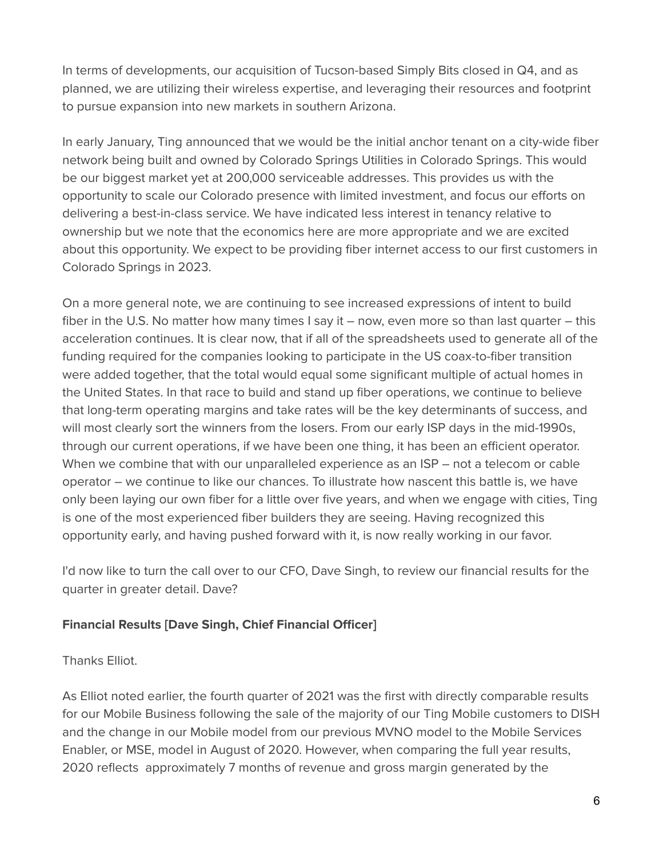In terms of developments, our acquisition of Tucson-based Simply Bits closed in Q4, and as planned, we are utilizing their wireless expertise, and leveraging their resources and footprint to pursue expansion into new markets in southern Arizona.

In early January, Ting announced that we would be the initial anchor tenant on a city-wide fiber network being built and owned by Colorado Springs Utilities in Colorado Springs. This would be our biggest market yet at 200,000 serviceable addresses. This provides us with the opportunity to scale our Colorado presence with limited investment, and focus our efforts on delivering a best-in-class service. We have indicated less interest in tenancy relative to ownership but we note that the economics here are more appropriate and we are excited about this opportunity. We expect to be providing fiber internet access to our first customers in Colorado Springs in 2023.

On a more general note, we are continuing to see increased expressions of intent to build fiber in the U.S. No matter how many times I say it – now, even more so than last quarter – this acceleration continues. It is clear now, that if all of the spreadsheets used to generate all of the funding required for the companies looking to participate in the US coax-to-fiber transition were added together, that the total would equal some significant multiple of actual homes in the United States. In that race to build and stand up fiber operations, we continue to believe that long-term operating margins and take rates will be the key determinants of success, and will most clearly sort the winners from the losers. From our early ISP days in the mid-1990s, through our current operations, if we have been one thing, it has been an efficient operator. When we combine that with our unparalleled experience as an ISP – not a telecom or cable operator – we continue to like our chances. To illustrate how nascent this battle is, we have only been laying our own fiber for a little over five years, and when we engage with cities, Ting is one of the most experienced fiber builders they are seeing. Having recognized this opportunity early, and having pushed forward with it, is now really working in our favor.

I'd now like to turn the call over to our CFO, Dave Singh, to review our financial results for the quarter in greater detail. Dave?

## **Financial Results [Dave Singh, Chief Financial Officer]**

Thanks Elliot.

As Elliot noted earlier, the fourth quarter of 2021 was the first with directly comparable results for our Mobile Business following the sale of the majority of our Ting Mobile customers to DISH and the change in our Mobile model from our previous MVNO model to the Mobile Services Enabler, or MSE, model in August of 2020. However, when comparing the full year results, 2020 reflects approximately 7 months of revenue and gross margin generated by the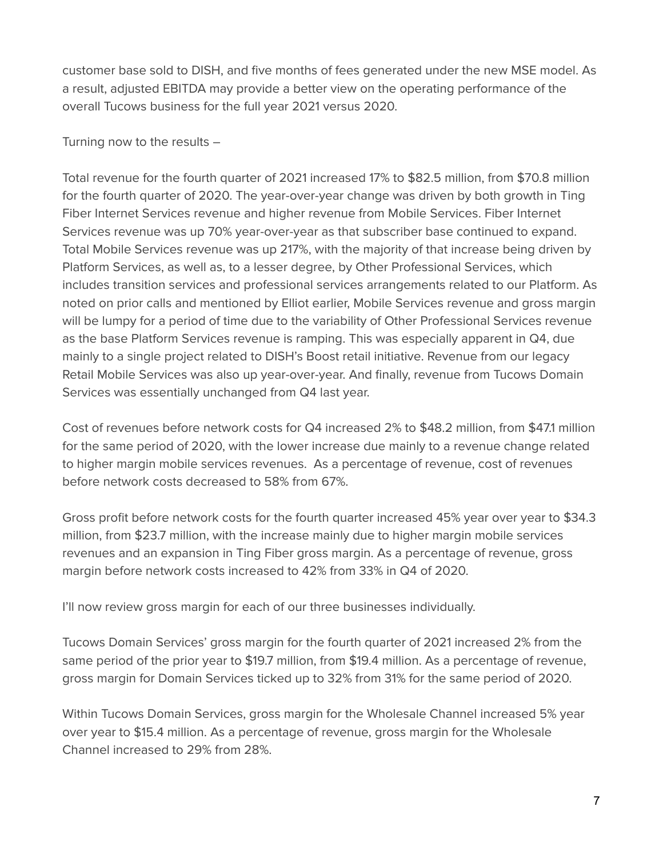customer base sold to DISH, and five months of fees generated under the new MSE model. As a result, adjusted EBITDA may provide a better view on the operating performance of the overall Tucows business for the full year 2021 versus 2020.

Turning now to the results –

Total revenue for the fourth quarter of 2021 increased 17% to \$82.5 million, from \$70.8 million for the fourth quarter of 2020. The year-over-year change was driven by both growth in Ting Fiber Internet Services revenue and higher revenue from Mobile Services. Fiber Internet Services revenue was up 70% year-over-year as that subscriber base continued to expand. Total Mobile Services revenue was up 217%, with the majority of that increase being driven by Platform Services, as well as, to a lesser degree, by Other Professional Services, which includes transition services and professional services arrangements related to our Platform. As noted on prior calls and mentioned by Elliot earlier, Mobile Services revenue and gross margin will be lumpy for a period of time due to the variability of Other Professional Services revenue as the base Platform Services revenue is ramping. This was especially apparent in Q4, due mainly to a single project related to DISH's Boost retail initiative. Revenue from our legacy Retail Mobile Services was also up year-over-year. And finally, revenue from Tucows Domain Services was essentially unchanged from Q4 last year.

Cost of revenues before network costs for Q4 increased 2% to \$48.2 million, from \$47.1 million for the same period of 2020, with the lower increase due mainly to a revenue change related to higher margin mobile services revenues. As a percentage of revenue, cost of revenues before network costs decreased to 58% from 67%.

Gross profit before network costs for the fourth quarter increased 45% year over year to \$34.3 million, from \$23.7 million, with the increase mainly due to higher margin mobile services revenues and an expansion in Ting Fiber gross margin. As a percentage of revenue, gross margin before network costs increased to 42% from 33% in Q4 of 2020.

I'll now review gross margin for each of our three businesses individually.

Tucows Domain Services' gross margin for the fourth quarter of 2021 increased 2% from the same period of the prior year to \$19.7 million, from \$19.4 million. As a percentage of revenue, gross margin for Domain Services ticked up to 32% from 31% for the same period of 2020.

Within Tucows Domain Services, gross margin for the Wholesale Channel increased 5% year over year to \$15.4 million. As a percentage of revenue, gross margin for the Wholesale Channel increased to 29% from 28%.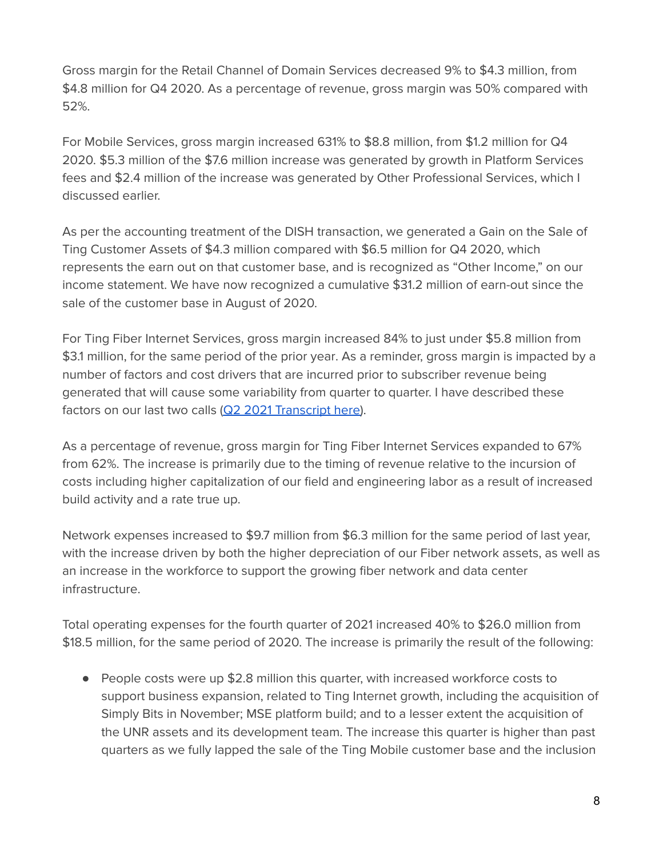Gross margin for the Retail Channel of Domain Services decreased 9% to \$4.3 million, from \$4.8 million for Q4 2020. As a percentage of revenue, gross margin was 50% compared with 52%.

For Mobile Services, gross margin increased 631% to \$8.8 million, from \$1.2 million for Q4 2020. \$5.3 million of the \$7.6 million increase was generated by growth in Platform Services fees and \$2.4 million of the increase was generated by Other Professional Services, which I discussed earlier.

As per the accounting treatment of the DISH transaction, we generated a Gain on the Sale of Ting Customer Assets of \$4.3 million compared with \$6.5 million for Q4 2020, which represents the earn out on that customer base, and is recognized as "Other Income," on our income statement. We have now recognized a cumulative \$31.2 million of earn-out since the sale of the customer base in August of 2020.

For Ting Fiber Internet Services, gross margin increased 84% to just under \$5.8 million from \$3.1 million, for the same period of the prior year. As a reminder, gross margin is impacted by a number of factors and cost drivers that are incurred prior to subscriber revenue being generated that will cause some variability from quarter to quarter. I have described these factors on our last two calls (Q2 2021 [Transcript](https://tucows.com/wp-content/uploads/2021/08/2021-Q2-TCX-results-management-remarks-transcript.pdf) here).

As a percentage of revenue, gross margin for Ting Fiber Internet Services expanded to 67% from 62%. The increase is primarily due to the timing of revenue relative to the incursion of costs including higher capitalization of our field and engineering labor as a result of increased build activity and a rate true up.

Network expenses increased to \$9.7 million from \$6.3 million for the same period of last year, with the increase driven by both the higher depreciation of our Fiber network assets, as well as an increase in the workforce to support the growing fiber network and data center infrastructure.

Total operating expenses for the fourth quarter of 2021 increased 40% to \$26.0 million from \$18.5 million, for the same period of 2020. The increase is primarily the result of the following:

● People costs were up \$2.8 million this quarter, with increased workforce costs to support business expansion, related to Ting Internet growth, including the acquisition of Simply Bits in November; MSE platform build; and to a lesser extent the acquisition of the UNR assets and its development team. The increase this quarter is higher than past quarters as we fully lapped the sale of the Ting Mobile customer base and the inclusion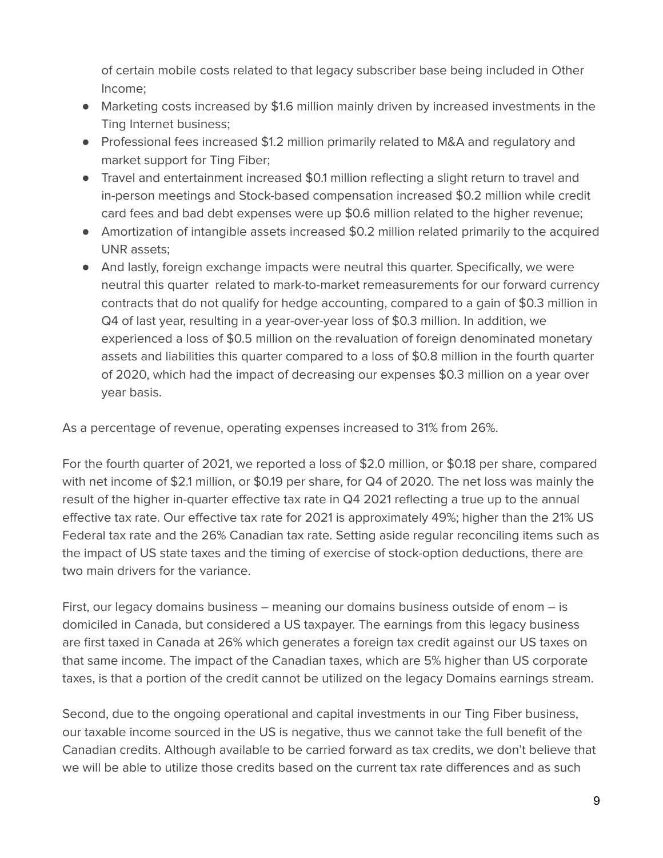of certain mobile costs related to that legacy subscriber base being included in Other Income;

- Marketing costs increased by \$1.6 million mainly driven by increased investments in the Ting Internet business;
- Professional fees increased \$1.2 million primarily related to M&A and regulatory and market support for Ting Fiber;
- Travel and entertainment increased \$0.1 million reflecting a slight return to travel and in-person meetings and Stock-based compensation increased \$0.2 million while credit card fees and bad debt expenses were up \$0.6 million related to the higher revenue;
- Amortization of intangible assets increased \$0.2 million related primarily to the acquired UNR assets;
- And lastly, foreign exchange impacts were neutral this quarter. Specifically, we were neutral this quarter related to mark-to-market remeasurements for our forward currency contracts that do not qualify for hedge accounting, compared to a gain of \$0.3 million in Q4 of last year, resulting in a year-over-year loss of \$0.3 million. In addition, we experienced a loss of \$0.5 million on the revaluation of foreign denominated monetary assets and liabilities this quarter compared to a loss of \$0.8 million in the fourth quarter of 2020, which had the impact of decreasing our expenses \$0.3 million on a year over year basis.

As a percentage of revenue, operating expenses increased to 31% from 26%.

For the fourth quarter of 2021, we reported a loss of \$2.0 million, or \$0.18 per share, compared with net income of \$2.1 million, or \$0.19 per share, for Q4 of 2020. The net loss was mainly the result of the higher in-quarter effective tax rate in Q4 2021 reflecting a true up to the annual effective tax rate. Our effective tax rate for 2021 is approximately 49%; higher than the 21% US Federal tax rate and the 26% Canadian tax rate. Setting aside regular reconciling items such as the impact of US state taxes and the timing of exercise of stock-option deductions, there are two main drivers for the variance.

First, our legacy domains business – meaning our domains business outside of enom – is domiciled in Canada, but considered a US taxpayer. The earnings from this legacy business are first taxed in Canada at 26% which generates a foreign tax credit against our US taxes on that same income. The impact of the Canadian taxes, which are 5% higher than US corporate taxes, is that a portion of the credit cannot be utilized on the legacy Domains earnings stream.

Second, due to the ongoing operational and capital investments in our Ting Fiber business, our taxable income sourced in the US is negative, thus we cannot take the full benefit of the Canadian credits. Although available to be carried forward as tax credits, we don't believe that we will be able to utilize those credits based on the current tax rate differences and as such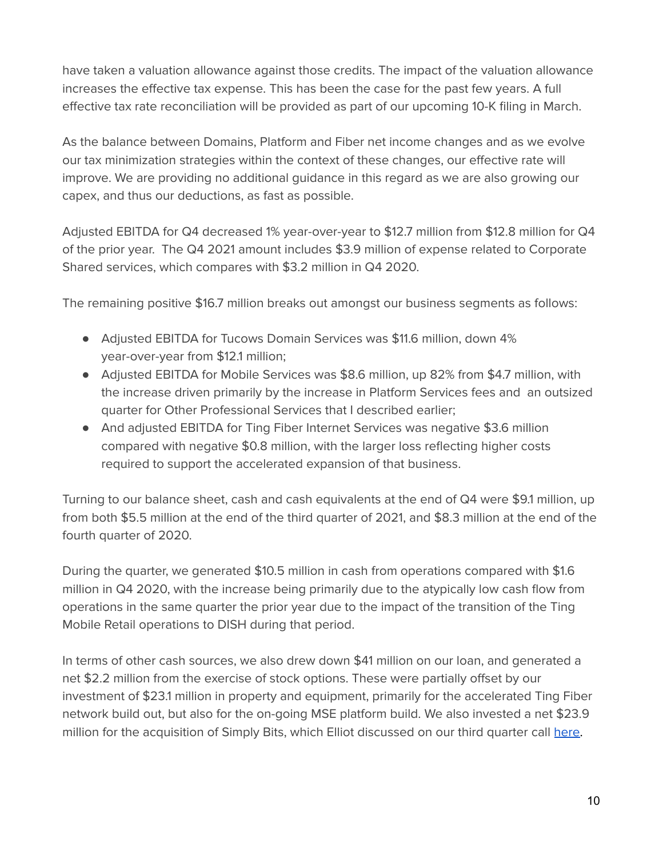have taken a valuation allowance against those credits. The impact of the valuation allowance increases the effective tax expense. This has been the case for the past few years. A full effective tax rate reconciliation will be provided as part of our upcoming 10-K filing in March.

As the balance between Domains, Platform and Fiber net income changes and as we evolve our tax minimization strategies within the context of these changes, our effective rate will improve. We are providing no additional guidance in this regard as we are also growing our capex, and thus our deductions, as fast as possible.

Adjusted EBITDA for Q4 decreased 1% year-over-year to \$12.7 million from \$12.8 million for Q4 of the prior year. The Q4 2021 amount includes \$3.9 million of expense related to Corporate Shared services, which compares with \$3.2 million in Q4 2020.

The remaining positive \$16.7 million breaks out amongst our business segments as follows:

- Adjusted EBITDA for Tucows Domain Services was \$11.6 million, down 4% year-over-year from \$12.1 million;
- Adjusted EBITDA for Mobile Services was \$8.6 million, up 82% from \$4.7 million, with the increase driven primarily by the increase in Platform Services fees and an outsized quarter for Other Professional Services that I described earlier;
- And adjusted EBITDA for Ting Fiber Internet Services was negative \$3.6 million compared with negative \$0.8 million, with the larger loss reflecting higher costs required to support the accelerated expansion of that business.

Turning to our balance sheet, cash and cash equivalents at the end of Q4 were \$9.1 million, up from both \$5.5 million at the end of the third quarter of 2021, and \$8.3 million at the end of the fourth quarter of 2020.

During the quarter, we generated \$10.5 million in cash from operations compared with \$1.6 million in Q4 2020, with the increase being primarily due to the atypically low cash flow from operations in the same quarter the prior year due to the impact of the transition of the Ting Mobile Retail operations to DISH during that period.

In terms of other cash sources, we also drew down \$41 million on our loan, and generated a net \$2.2 million from the exercise of stock options. These were partially offset by our investment of \$23.1 million in property and equipment, primarily for the accelerated Ting Fiber network build out, but also for the on-going MSE platform build. We also invested a net \$23.9 million for the acquisition of Simply Bits, which Elliot discussed on our third quarter call [here.](https://tucows.com/wp-content/uploads/2021/11/2021-Q3-TCX-results-management-remarks-transcript.pdf)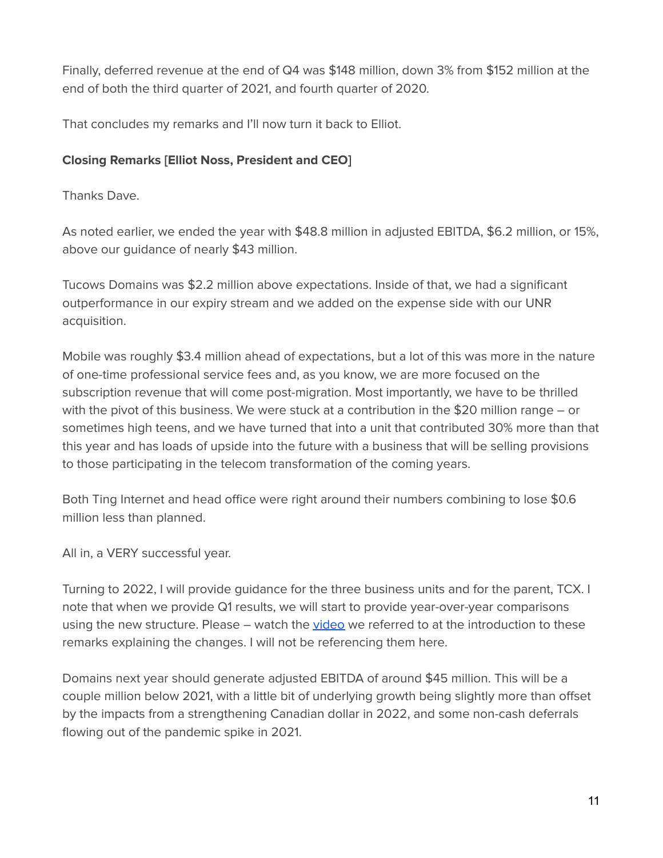Finally, deferred revenue at the end of Q4 was \$148 million, down 3% from \$152 million at the end of both the third quarter of 2021, and fourth quarter of 2020.

That concludes my remarks and I'll now turn it back to Elliot.

## **Closing Remarks [Elliot Noss, President and CEO]**

Thanks Dave.

As noted earlier, we ended the year with \$48.8 million in adjusted EBITDA, \$6.2 million, or 15%, above our guidance of nearly \$43 million.

Tucows Domains was \$2.2 million above expectations. Inside of that, we had a significant outperformance in our expiry stream and we added on the expense side with our UNR acquisition.

Mobile was roughly \$3.4 million ahead of expectations, but a lot of this was more in the nature of one-time professional service fees and, as you know, we are more focused on the subscription revenue that will come post-migration. Most importantly, we have to be thrilled with the pivot of this business. We were stuck at a contribution in the \$20 million range – or sometimes high teens, and we have turned that into a unit that contributed 30% more than that this year and has loads of upside into the future with a business that will be selling provisions to those participating in the telecom transformation of the coming years.

Both Ting Internet and head office were right around their numbers combining to lose \$0.6 million less than planned.

All in, a VERY successful year.

Turning to 2022, I will provide guidance for the three business units and for the parent, TCX. I note that when we provide Q1 results, we will start to provide year-over-year comparisons using the new structure. Please – watch the [video](https://vimeo.com/675592141) we referred to at the introduction to these remarks explaining the changes. I will not be referencing them here.

Domains next year should generate adjusted EBITDA of around \$45 million. This will be a couple million below 2021, with a little bit of underlying growth being slightly more than offset by the impacts from a strengthening Canadian dollar in 2022, and some non-cash deferrals flowing out of the pandemic spike in 2021.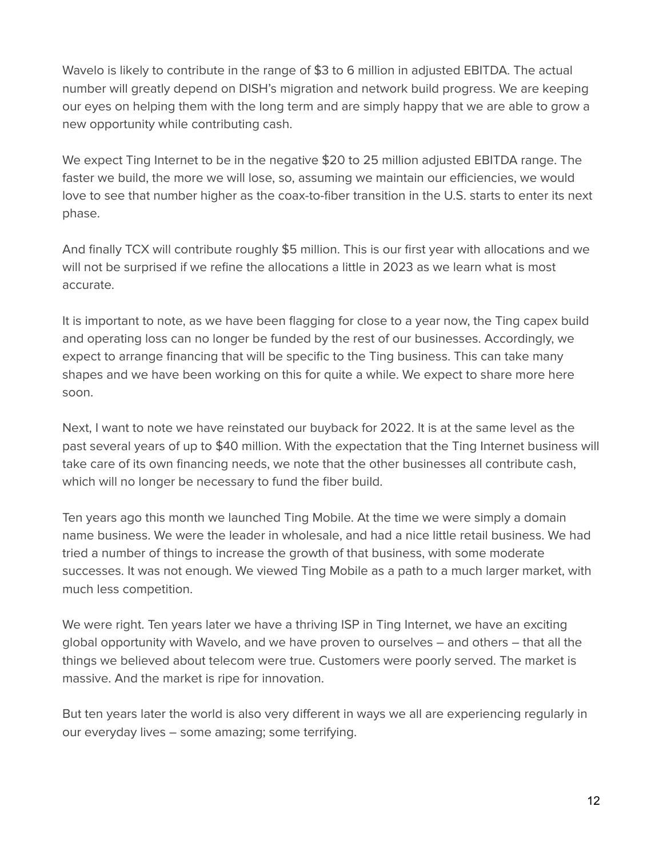Wavelo is likely to contribute in the range of \$3 to 6 million in adjusted EBITDA. The actual number will greatly depend on DISH's migration and network build progress. We are keeping our eyes on helping them with the long term and are simply happy that we are able to grow a new opportunity while contributing cash.

We expect Ting Internet to be in the negative \$20 to 25 million adjusted EBITDA range. The faster we build, the more we will lose, so, assuming we maintain our efficiencies, we would love to see that number higher as the coax-to-fiber transition in the U.S. starts to enter its next phase.

And finally TCX will contribute roughly \$5 million. This is our first year with allocations and we will not be surprised if we refine the allocations a little in 2023 as we learn what is most accurate.

It is important to note, as we have been flagging for close to a year now, the Ting capex build and operating loss can no longer be funded by the rest of our businesses. Accordingly, we expect to arrange financing that will be specific to the Ting business. This can take many shapes and we have been working on this for quite a while. We expect to share more here soon.

Next, I want to note we have reinstated our buyback for 2022. It is at the same level as the past several years of up to \$40 million. With the expectation that the Ting Internet business will take care of its own financing needs, we note that the other businesses all contribute cash, which will no longer be necessary to fund the fiber build.

Ten years ago this month we launched Ting Mobile. At the time we were simply a domain name business. We were the leader in wholesale, and had a nice little retail business. We had tried a number of things to increase the growth of that business, with some moderate successes. It was not enough. We viewed Ting Mobile as a path to a much larger market, with much less competition.

We were right. Ten years later we have a thriving ISP in Ting Internet, we have an exciting global opportunity with Wavelo, and we have proven to ourselves – and others – that all the things we believed about telecom were true. Customers were poorly served. The market is massive. And the market is ripe for innovation.

But ten years later the world is also very different in ways we all are experiencing regularly in our everyday lives – some amazing; some terrifying.